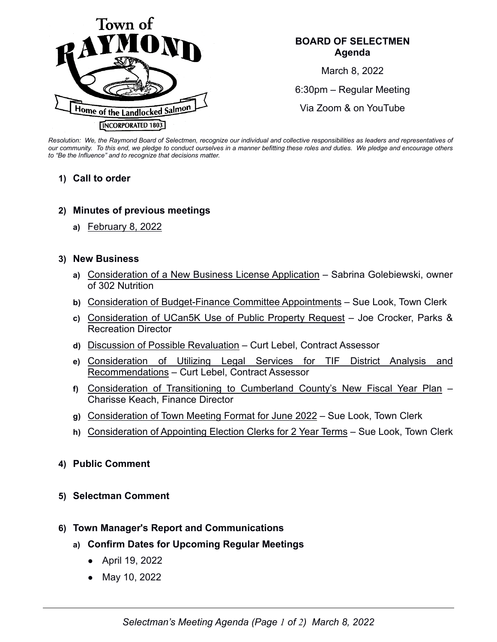

### **BOARD OF SELECTMEN Agenda**

March 8, 2022

6:30pm – Regular Meeting

Via Zoom & on YouTube

*Resolution: We, the Raymond Board of Selectmen, recognize our individual and collective responsibilities as leaders and representatives of our community. To this end, we pledge to conduct ourselves in a manner befitting these roles and duties. We pledge and encourage others to "Be the Influence" and to recognize that decisions matter.*

### **1) Call to order**

### **2) Minutes of previous meetings**

**a)** February 8, 2022

#### **3) New Business**

- **a)** Consideration of a New Business License Application Sabrina Golebiewski, owner of 302 Nutrition
- **b)** Consideration of Budget-Finance Committee Appointments Sue Look, Town Clerk
- **c)** Consideration of UCan5K Use of Public Property Request Joe Crocker, Parks & Recreation Director
- **d)** Discussion of Possible Revaluation Curt Lebel, Contract Assessor
- **e)** Consideration of Utilizing Legal Services for TIF District Analysis and Recommendations – Curt Lebel, Contract Assessor
- **f)** Consideration of Transitioning to Cumberland County's New Fiscal Year Plan Charisse Keach, Finance Director
- **g)** Consideration of Town Meeting Format for June 2022 Sue Look, Town Clerk
- **h)** Consideration of Appointing Election Clerks for 2 Year Terms Sue Look, Town Clerk

## **4) Public Comment**

#### **5) Selectman Comment**

## **6) Town Manager's Report and Communications**

- **a) Confirm Dates for Upcoming Regular Meetings**
	- April 19, 2022
	- May 10, 2022